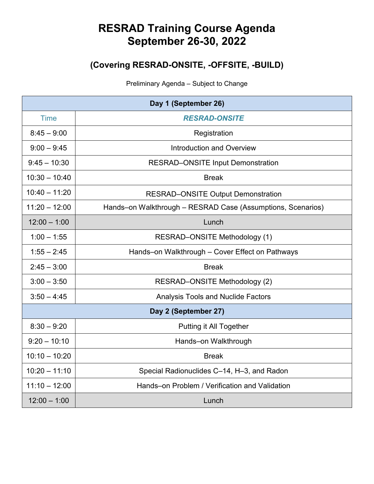## **RESRAD Training Course Agenda September 26-30, 2022**

## **(Covering RESRAD-ONSITE, -OFFSITE, -BUILD)**

Preliminary Agenda – Subject to Change

| Day 1 (September 26) |                                                             |  |
|----------------------|-------------------------------------------------------------|--|
| <b>Time</b>          | <b>RESRAD-ONSITE</b>                                        |  |
| $8:45 - 9:00$        | Registration                                                |  |
| $9:00 - 9:45$        | Introduction and Overview                                   |  |
| $9:45 - 10:30$       | <b>RESRAD-ONSITE Input Demonstration</b>                    |  |
| $10:30 - 10:40$      | <b>Break</b>                                                |  |
| $10:40 - 11:20$      | <b>RESRAD-ONSITE Output Demonstration</b>                   |  |
| $11:20 - 12:00$      | Hands-on Walkthrough - RESRAD Case (Assumptions, Scenarios) |  |
| $12:00 - 1:00$       | Lunch                                                       |  |
| $1:00 - 1:55$        | RESRAD-ONSITE Methodology (1)                               |  |
| $1:55 - 2:45$        | Hands-on Walkthrough - Cover Effect on Pathways             |  |
| $2:45 - 3:00$        | <b>Break</b>                                                |  |
| $3:00 - 3:50$        | RESRAD-ONSITE Methodology (2)                               |  |
| $3:50 - 4:45$        | <b>Analysis Tools and Nuclide Factors</b>                   |  |
| Day 2 (September 27) |                                                             |  |
| $8:30 - 9:20$        | Putting it All Together                                     |  |
| $9:20 - 10:10$       | Hands-on Walkthrough                                        |  |
| $10:10 - 10:20$      | <b>Break</b>                                                |  |
| $10:20 - 11:10$      | Special Radionuclides C-14, H-3, and Radon                  |  |
| $11:10 - 12:00$      | Hands-on Problem / Verification and Validation              |  |
| $12:00 - 1:00$       | Lunch                                                       |  |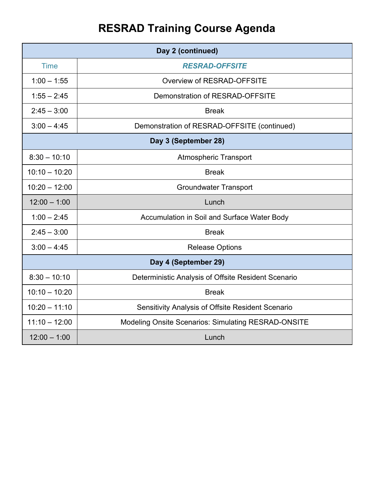## **RESRAD Training Course Agenda**

| Day 2 (continued)    |                                                            |  |
|----------------------|------------------------------------------------------------|--|
| <b>Time</b>          | <b>RESRAD-OFFSITE</b>                                      |  |
| $1:00 - 1:55$        | Overview of RESRAD-OFFSITE                                 |  |
| $1:55 - 2:45$        | Demonstration of RESRAD-OFFSITE                            |  |
| $2:45 - 3:00$        | <b>Break</b>                                               |  |
| $3:00 - 4:45$        | Demonstration of RESRAD-OFFSITE (continued)                |  |
| Day 3 (September 28) |                                                            |  |
| $8:30 - 10:10$       | <b>Atmospheric Transport</b>                               |  |
| $10:10 - 10:20$      | <b>Break</b>                                               |  |
| $10:20 - 12:00$      | <b>Groundwater Transport</b>                               |  |
| $12:00 - 1:00$       | Lunch                                                      |  |
| $1:00 - 2:45$        | Accumulation in Soil and Surface Water Body                |  |
| $2:45 - 3:00$        | <b>Break</b>                                               |  |
| $3:00 - 4:45$        | <b>Release Options</b>                                     |  |
| Day 4 (September 29) |                                                            |  |
| $8:30 - 10:10$       | Deterministic Analysis of Offsite Resident Scenario        |  |
| $10:10 - 10:20$      | <b>Break</b>                                               |  |
| $10:20 - 11:10$      | Sensitivity Analysis of Offsite Resident Scenario          |  |
| $11:10 - 12:00$      | <b>Modeling Onsite Scenarios: Simulating RESRAD-ONSITE</b> |  |
| $12:00 - 1:00$       | Lunch                                                      |  |